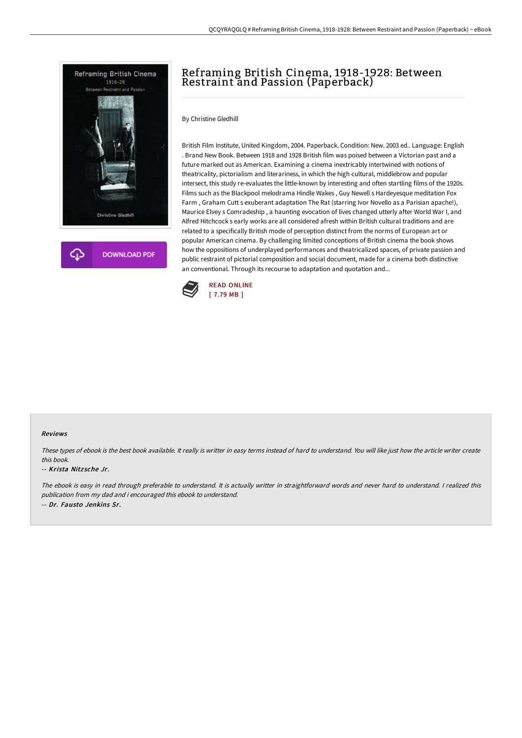

**DOWNLOAD PDF** 

# Reframing British Cinema, 1918-1928: Between Restraint and Passion (Paperback)

By Christine Gledhill

British Film Institute, United Kingdom, 2004. Paperback. Condition: New. 2003 ed.. Language: English . Brand New Book. Between 1918 and 1928 British film was poised between a Victorian past and a future marked out as American. Examining a cinema inextricably intertwined with notions of theatricality, pictorialism and literariness, in which the high cultural, middlebrow and popular intersect, this study re-evaluates the little-known by interesting and often startling films of the 1920s. Films such as the Blackpool melodrama Hindle Wakes , Guy Newell s Hardeyesque meditation Fox Farm , Graham Cutt s exuberant adaptation The Rat (starring Ivor Novello as a Parisian apache!), Maurice Elvey s Comradeship , a haunting evocation of lives changed utterly after World War I, and Alfred Hitchcock s early works are all considered afresh within British cultural traditions and are related to a specifically British mode of perception distinct from the norms of European art or popular American cinema. By challenging limited conceptions of British cinema the book shows how the oppositions of underplayed performances and theatricalized spaces, of private passion and public restraint of pictorial composition and social document, made for a cinema both distinctive an conventional. Through its recourse to adaptation and quotation and...



#### Reviews

These types of ebook is the best book available. It really is writter in easy terms instead of hard to understand. You will like just how the article writer create this book.

### -- Krista Nitz sche Jr.

The ebook is easy in read through preferable to understand. It is actually writter in straightforward words and never hard to understand. <sup>I</sup> realized this publication from my dad and i encouraged this ebook to understand. -- Dr. Fausto Jenkins Sr.